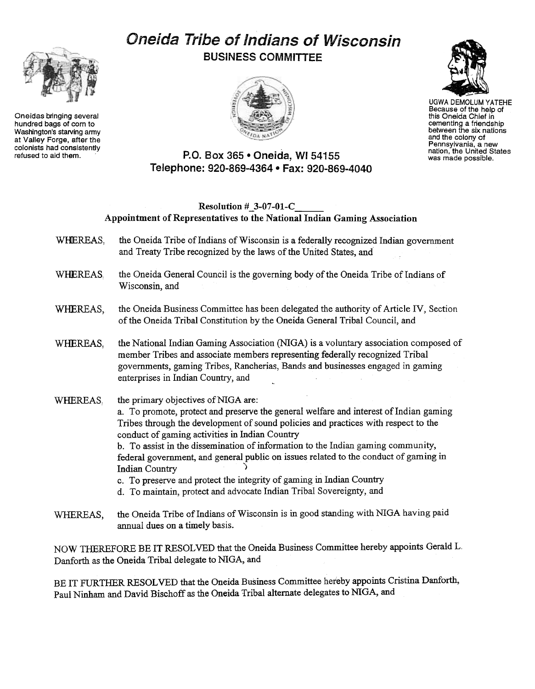# Oneida Tribe of Indians of Wisconsin BUSINESS COMMITTEE





UGWA DEMOLUM YATEHE Because of the help of this Oneida Chief in cementing a friendship between the six nations and the colony of Pennsylvania, a new nation, the United States was made possible.

## P.O. Box 365 . Oneida, WI 54155 Telephone: 920-869-4364 · Fax: 920-869-4040

## Resolution #\_3-07-01-C Appointment of Representatives to the National Indian Gaming Association

- WHEREAS. the Oneida Tribe of Indians of Wisconsin is a federally recognized Indian government and Treaty Tribe recognized by the laws of the United States, and
- WHEREAS, the Oneida General Council is the governing body of the Oneida Tribe of Indians of Wisconsin, and
- WHEREAS, the Oneida Business Committee has been delegated the authority of Article IV, Section of the Oneida Tribal Constitution by the Oneida General Tribal Council, and
- WHEREAS, the National Indian Gaming Association (NIGA) is a voluntary association composed of member Tribes and associate members representing federally recognized Tribal governments, gaming Tribes, Rancherias, Bands and businesses engaged in gaming enterprises in Indian Country, and

#### WHEREAS. the primary objectives of NIGA are: a. To promote, protect and preserve the general welfare and interest of Indian gaming Tribes through the development of sound policies and practices with respect to the conduct of gaming activities in Indian Country b. To assist in the dissemination of information to the Indian gaming community, federal government, and general public on issues related to the conduct of gaming in Indian Country ) c. To preserve and protect the integrity of gaming in Indian Country d. To maintain, protect and advocate Indian Tribal Sovereignty, and

the Oneida Tribe of Indians of Wisconsin is in good standing with NIGA having paid annual dues on a timely basis. WHEREAS,

NOW THEREFORE BE IT RESOLVED that the Oneida Business Committee hereby appoints Gerald L. Danforth as the Oneida Tribal delegate to NIGA, and

BE IT FURTHER RESOLVED that the Oneida Business Committee hereby appoints Cristina Danforth, Paul Ninham and David Bischoff as the Oneida Tribal alternate delegates to NIGA, and



Oneidas bringing several hundred bags of corn to Washington's starving army at Valley Forge, after the colonists had consistently<br>refused to aid them.